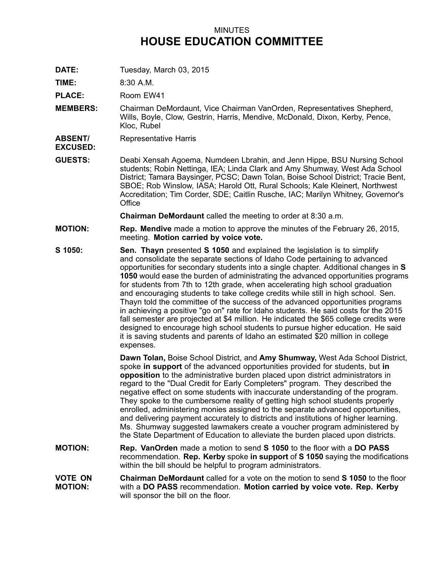## MINUTES **HOUSE EDUCATION COMMITTEE**

**DATE:** Tuesday, March 03, 2015

**TIME:** 8:30 A.M.

PLACE: Room EW41

- **MEMBERS:** Chairman DeMordaunt, Vice Chairman VanOrden, Representatives Shepherd, Wills, Boyle, Clow, Gestrin, Harris, Mendive, McDonald, Dixon, Kerby, Pence, Kloc, Rubel
- **ABSENT/** Representative Harris
- **EXCUSED:**
- **GUESTS:** Deabi Xensah Agoema, Numdeen Lbrahin, and Jenn Hippe, BSU Nursing School students; Robin Nettinga, IEA; Linda Clark and Amy Shumway, West Ada School District; Tamara Baysinger, PCSC; Dawn Tolan, Boise School District; Tracie Bent, SBOE; Rob Winslow, IASA; Harold Ott, Rural Schools; Kale Kleinert, Northwest Accreditation; Tim Corder, SDE; Caitlin Rusche, IAC; Marilyn Whitney, Governor's **Office**

**Chairman DeMordaunt** called the meeting to order at 8:30 a.m.

- **MOTION: Rep. Mendive** made <sup>a</sup> motion to approve the minutes of the February 26, 2015, meeting. **Motion carried by voice vote.**
- **S 1050: Sen. Thayn** presented **S 1050** and explained the legislation is to simplify and consolidate the separate sections of Idaho Code pertaining to advanced opportunities for secondary students into <sup>a</sup> single chapter. Additional changes in **S 1050** would ease the burden of administrating the advanced opportunities programs for students from 7th to 12th grade, when accelerating high school graduation and encouraging students to take college credits while still in high school. Sen. Thayn told the committee of the success of the advanced opportunities programs in achieving <sup>a</sup> positive "go on" rate for Idaho students. He said costs for the 2015 fall semester are projected at \$4 million. He indicated the \$65 college credits were designed to encourage high school students to pursue higher education. He said it is saving students and parents of Idaho an estimated \$20 million in college expenses.

**Dawn Tolan,** Boise School District, and **Amy Shumway,** West Ada School District, spoke **in support** of the advanced opportunities provided for students, but **in opposition** to the administrative burden placed upon district administrators in regard to the "Dual Credit for Early Completers" program. They described the negative effect on some students with inaccurate understanding of the program. They spoke to the cumbersome reality of getting high school students properly enrolled, administering monies assigned to the separate advanced opportunities, and delivering payment accurately to districts and institutions of higher learning. Ms. Shumway suggested lawmakers create <sup>a</sup> voucher program administered by the State Department of Education to alleviate the burden placed upon districts.

- **MOTION: Rep. VanOrden** made <sup>a</sup> motion to send **S 1050** to the floor with <sup>a</sup> **DO PASS** recommendation. **Rep. Kerby** spoke **in support** of **S 1050** saying the modifications within the bill should be helpful to program administrators.
- **VOTE ON MOTION: Chairman DeMordaunt** called for a vote on the motion to send **S 1050** to the floor with <sup>a</sup> **DO PASS** recommendation. **Motion carried by voice vote. Rep. Kerby** will sponsor the bill on the floor.